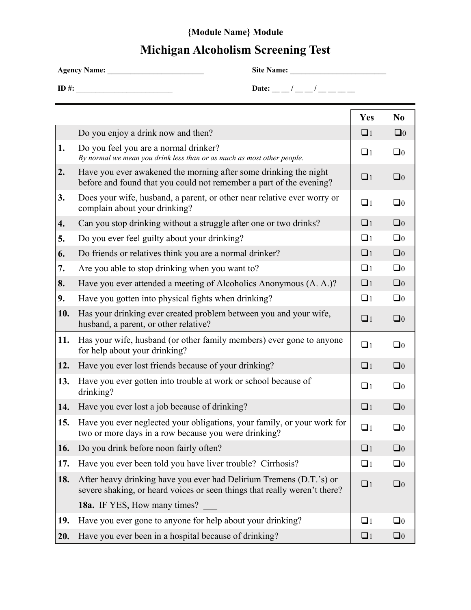## **{Module Name} Module**

## **Michigan Alcoholism Screening Test**

**Agency Name:** \_\_\_\_\_\_\_\_\_\_\_\_\_\_\_\_\_\_\_\_\_\_\_\_\_ **Site Name:** \_\_\_\_\_\_\_\_\_\_\_\_\_\_\_\_\_\_\_\_\_\_\_\_\_

**ID #:** \_\_\_\_\_\_\_\_\_\_\_\_\_\_\_\_\_\_\_\_\_\_\_\_\_ **Date: \_\_ \_\_ / \_\_ \_\_ / \_\_ \_\_ \_\_ \_\_** 

|     |                                                                                                                                                  | Yes      | N <sub>0</sub> |
|-----|--------------------------------------------------------------------------------------------------------------------------------------------------|----------|----------------|
|     | Do you enjoy a drink now and then?                                                                                                               | $\Box$ 1 | $\Box$ 0       |
| 1.  | Do you feel you are a normal drinker?<br>By normal we mean you drink less than or as much as most other people.                                  | $\Box$ 1 | $\Box$ 0       |
| 2.  | Have you ever awakened the morning after some drinking the night<br>before and found that you could not remember a part of the evening?          | $\Box$ 1 | $\Box$ 0       |
| 3.  | Does your wife, husband, a parent, or other near relative ever worry or<br>complain about your drinking?                                         | $\Box$ 1 | $\Box$ 0       |
| 4.  | Can you stop drinking without a struggle after one or two drinks?                                                                                | $\Box$ 1 | $\Box$ 0       |
| 5.  | Do you ever feel guilty about your drinking?                                                                                                     | $\Box$   | $\Box$ 0       |
| 6.  | Do friends or relatives think you are a normal drinker?                                                                                          | $\Box$ 1 | $\Box$ 0       |
| 7.  | Are you able to stop drinking when you want to?                                                                                                  | $\Box$   | $\Box$ 0       |
| 8.  | Have you ever attended a meeting of Alcoholics Anonymous (A. A.)?                                                                                | $\Box$ 1 | $\Box$ 0       |
| 9.  | Have you gotten into physical fights when drinking?                                                                                              | $\Box$   | $\Box$ 0       |
| 10. | Has your drinking ever created problem between you and your wife,<br>husband, a parent, or other relative?                                       | $\Box$ 1 | $\Box$ 0       |
| 11. | Has your wife, husband (or other family members) ever gone to anyone<br>for help about your drinking?                                            | $\Box$ 1 | $\Box$ 0       |
| 12. | Have you ever lost friends because of your drinking?                                                                                             | $\Box$ 1 | $\Box$ 0       |
| 13. | Have you ever gotten into trouble at work or school because of<br>drinking?                                                                      | $\Box$ 1 | $\Box$ 0       |
| 14. | Have you ever lost a job because of drinking?                                                                                                    | $\Box$ 1 | $\Box$ 0       |
| 15. | Have you ever neglected your obligations, your family, or your work for<br>two or more days in a row because you were drinking?                  | $\Box$ 1 | $\Box$ 0       |
| 16. | Do you drink before noon fairly often?                                                                                                           | $\Box$ 1 | $\Box$ 0       |
| 17. | Have you ever been told you have liver trouble? Cirrhosis?                                                                                       | $\Box$ 1 | $\square_0$    |
| 18. | After heavy drinking have you ever had Delirium Tremens (D.T.'s) or<br>severe shaking, or heard voices or seen things that really weren't there? | $\Box$ 1 | $\Box$ 0       |
|     | 18a. IF YES, How many times?                                                                                                                     |          |                |
| 19. | Have you ever gone to anyone for help about your drinking?                                                                                       | $\Box$   | $\Box$ 0       |
| 20. | Have you ever been in a hospital because of drinking?                                                                                            | $\Box$ 1 | $\Box$ 0       |